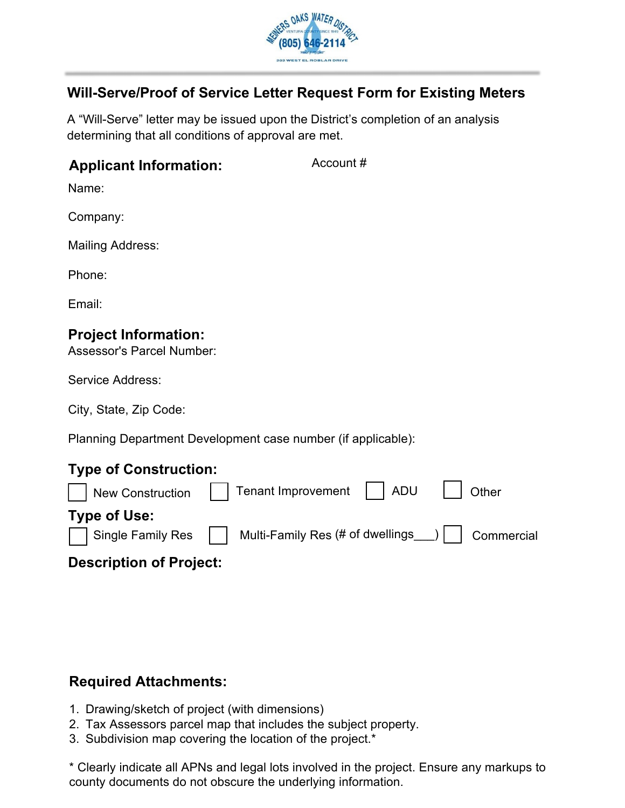

Account #

# **Will-Serve/Proof of Service Letter Request Form for Existing Meters**

A "Will-Serve" letter may be issued upon the District's completion of an analysis determining that all conditions of approval are met.

#### **Applicant Information:**

Name:

Company:

Mailing Address:

Phone:

Email:

## **Project Information:**

Assessor's Parcel Number:

Service Address:

City, State, Zip Code:

Planning Department Development case number (if applicable):

## **Type of Construction:**

|                     | New Construction   Tenant Improvement   ADU                          | $\vert$   Other |
|---------------------|----------------------------------------------------------------------|-----------------|
| <b>Type of Use:</b> | Single Family Res   Multi-Family Res (# of dwellings__)   Commercial |                 |

#### **Description of Project:**

## **Required Attachments:**

- 1. Drawing/sketch of project (with dimensions)
- 2. Tax Assessors parcel map that includes the subject property.
- 3. Subdivision map covering the location of the project.\*

\* Clearly indicate all APNs and legal lots involved in the project. Ensure any markups to county documents do not obscure the underlying information.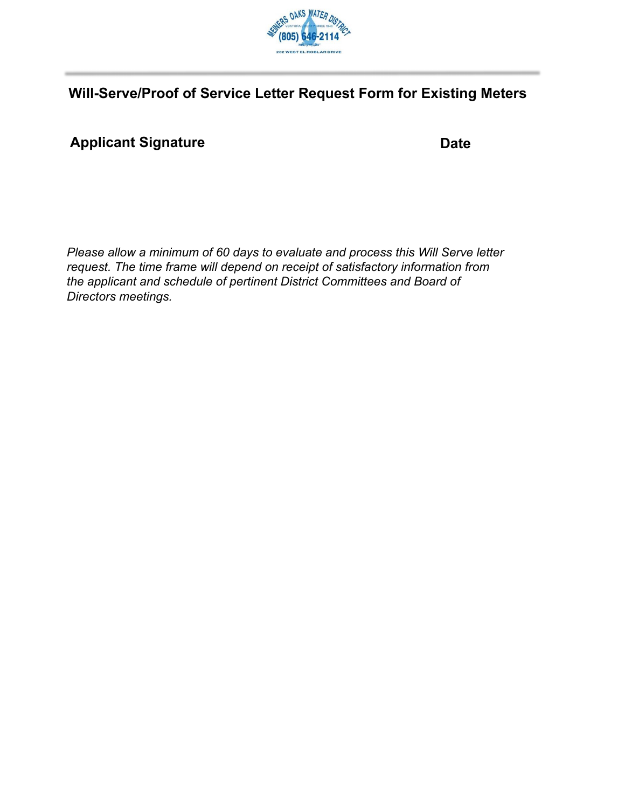

# **Will-Serve/Proof of Service Letter Request Form for Existing Meters**

# Applicant Signature **Date**

*Please allow a minimum of 60 days to evaluate and process this Will Serve letter request. The time frame will depend on receipt of satisfactory information from the applicant and schedule of pertinent District Committees and Board of Directors meetings.*